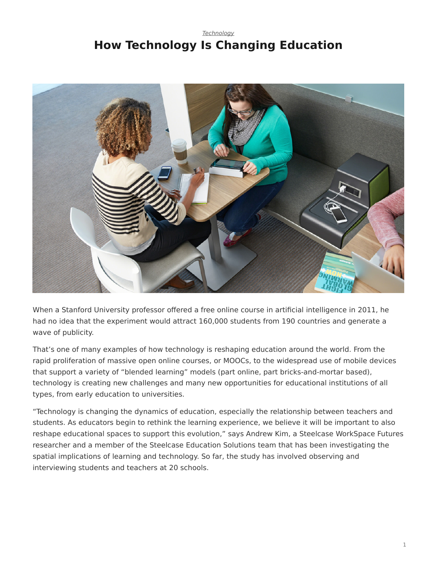#### *[Technology](https://www.steelcase.com/asia-en/research/topics/technology/)* **How Technology Is Changing Education**



When a Stanford University professor offered a free online course in artificial intelligence in 2011, he had no idea that the experiment would attract 160,000 students from 190 countries and generate a wave of publicity.

That's one of many examples of how technology is reshaping education around the world. From the rapid proliferation of massive open online courses, or MOOCs, to the widespread use of mobile devices that support a variety of "blended learning" models (part online, part bricks-and-mortar based), technology is creating new challenges and many new opportunities for educational institutions of all types, from early education to universities.

"Technology is changing the dynamics of education, especially the relationship between teachers and students. As educators begin to rethink the learning experience, we believe it will be important to also reshape educational spaces to support this evolution," says Andrew Kim, a Steelcase WorkSpace Futures researcher and a member of the Steelcase Education Solutions team that has been investigating the spatial implications of learning and technology. So far, the study has involved observing and interviewing students and teachers at 20 schools.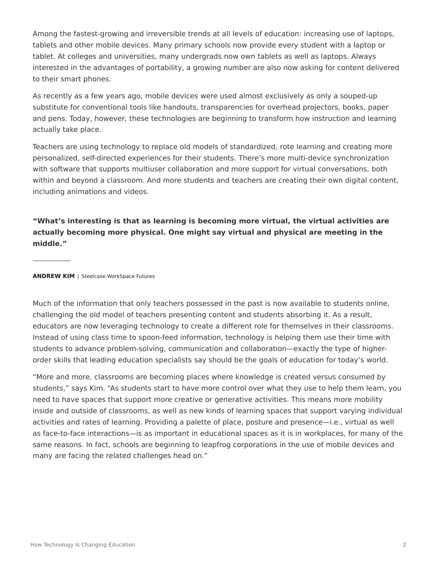Among the fastest-growing and irreversible trends at all levels of education: increasing use of laptops, tablets and other mobile devices. Many primary schools now provide every student with a laptop or tablet. At colleges and universities, many undergrads now own tablets as well as laptops. Always interested in the advantages of portability, a growing number are also now asking for content delivered to their smart phones.

As recently as a few years ago, mobile devices were used almost exclusively as only a souped-up substitute for conventional tools like handouts, transparencies for overhead projectors, books, paper and pens. Today, however, these technologies are beginning to transform how instruction and learning actually take place.

Teachers are using technology to replace old models of standardized, rote learning and creating more personalized, self-directed experiences for their students. There's more multi-device synchronization with software that supports multiuser collaboration and more support for virtual conversations, both within and beyond a classroom. And more students and teachers are creating their own digital content, including animations and videos.

**"What's interesting is that as learning is becoming more virtual, the virtual activities are actually becoming more physical. One might say virtual and physical are meeting in the middle."**

**ANDREW KIM** | Steelcase WorkSpace Futures

Much of the information that only teachers possessed in the past is now available to students online, challenging the old model of teachers presenting content and students absorbing it. As a result, educators are now leveraging technology to create a different role for themselves in their classrooms. Instead of using class time to spoon-feed information, technology is helping them use their time with students to advance problem-solving, communication and collaboration—exactly the type of higherorder skills that leading education specialists say should be the goals of education for today's world.

"More and more, classrooms are becoming places where knowledge is created versus consumed by students," says Kim. "As students start to have more control over what they use to help them learn, you need to have spaces that support more creative or generative activities. This means more mobility inside and outside of classrooms, as well as new kinds of learning spaces that support varying individual activities and rates of learning. Providing a palette of place, posture and presence—i.e., virtual as well as face-to-face interactions—is as important in educational spaces as it is in workplaces, for many of the same reasons. In fact, schools are beginning to leapfrog corporations in the use of mobile devices and many are facing the related challenges head on."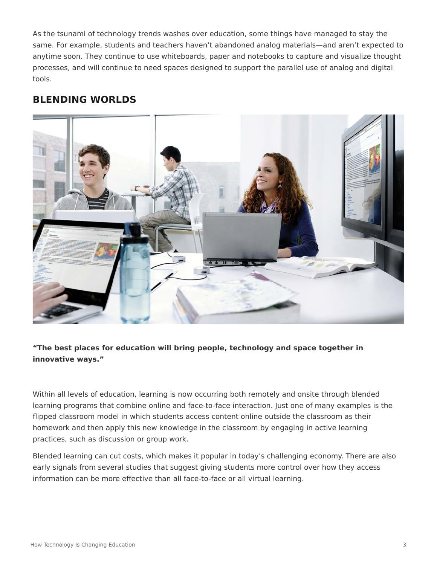As the tsunami of technology trends washes over education, some things have managed to stay the same. For example, students and teachers haven't abandoned analog materials—and aren't expected to anytime soon. They continue to use whiteboards, paper and notebooks to capture and visualize thought processes, and will continue to need spaces designed to support the parallel use of analog and digital tools.

## **BLENDING WORLDS**



#### **"The best places for education will bring people, technology and space together in innovative ways."**

Within all levels of education, learning is now occurring both remotely and onsite through blended learning programs that combine online and face-to-face interaction. Just one of many examples is the flipped classroom model in which students access content online outside the classroom as their homework and then apply this new knowledge in the classroom by engaging in active learning practices, such as discussion or group work.

Blended learning can cut costs, which makes it popular in today's challenging economy. There are also early signals from several studies that suggest giving students more control over how they access information can be more effective than all face-to-face or all virtual learning.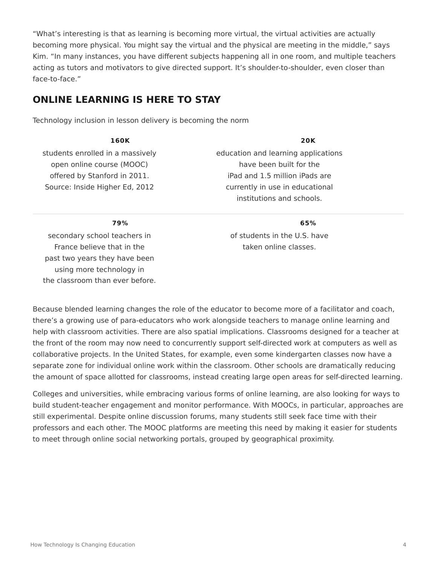"What's interesting is that as learning is becoming more virtual, the virtual activities are actually becoming more physical. You might say the virtual and the physical are meeting in the middle," says Kim. "In many instances, you have different subjects happening all in one room, and multiple teachers acting as tutors and motivators to give directed support. It's shoulder-to-shoulder, even closer than face-to-face."

## **ONLINE LEARNING IS HERE TO STAY**

Technology inclusion in lesson delivery is becoming the norm

| 160K                             | <b>20K</b>                          |
|----------------------------------|-------------------------------------|
| students enrolled in a massively | education and learning applications |
| open online course (MOOC)        | have been built for the             |
| offered by Stanford in 2011.     | iPad and 1.5 million iPads are      |
| Source: Inside Higher Ed, 2012   | currently in use in educational     |
|                                  | institutions and schools.           |

**79%**

secondary school teachers in France believe that in the past two years they have been using more technology in the classroom than ever before. institutions and schools. **65%**

of students in the U.S. have taken online classes.

Because blended learning changes the role of the educator to become more of a facilitator and coach, there's a growing use of para-educators who work alongside teachers to manage online learning and help with classroom activities. There are also spatial implications. Classrooms designed for a teacher at the front of the room may now need to concurrently support self-directed work at computers as well as collaborative projects. In the United States, for example, even some kindergarten classes now have a separate zone for individual online work within the classroom. Other schools are dramatically reducing the amount of space allotted for classrooms, instead creating large open areas for self-directed learning.

Colleges and universities, while embracing various forms of online learning, are also looking for ways to build student-teacher engagement and monitor performance. With MOOCs, in particular, approaches are still experimental. Despite online discussion forums, many students still seek face time with their professors and each other. The MOOC platforms are meeting this need by making it easier for students to meet through online social networking portals, grouped by geographical proximity.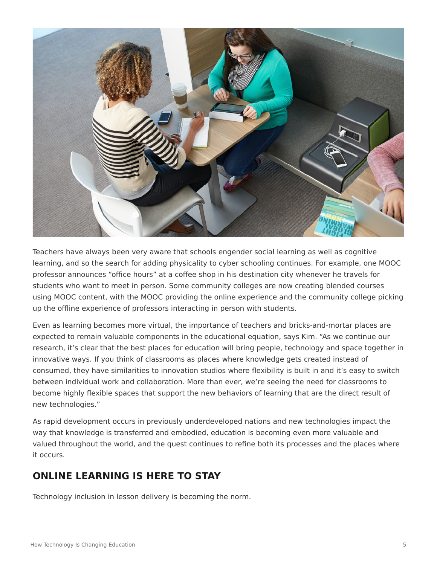

Teachers have always been very aware that schools engender social learning as well as cognitive learning, and so the search for adding physicality to cyber schooling continues. For example, one MOOC professor announces "office hours" at a coffee shop in his destination city whenever he travels for students who want to meet in person. Some community colleges are now creating blended courses using MOOC content, with the MOOC providing the online experience and the community college picking up the offline experience of professors interacting in person with students.

Even as learning becomes more virtual, the importance of teachers and bricks-and-mortar places are expected to remain valuable components in the educational equation, says Kim. "As we continue our research, it's clear that the best places for education will bring people, technology and space together in innovative ways. If you think of classrooms as places where knowledge gets created instead of consumed, they have similarities to innovation studios where flexibility is built in and it's easy to switch between individual work and collaboration. More than ever, we're seeing the need for classrooms to become highly flexible spaces that support the new behaviors of learning that are the direct result of new technologies."

As rapid development occurs in previously underdeveloped nations and new technologies impact the way that knowledge is transferred and embodied, education is becoming even more valuable and valued throughout the world, and the quest continues to refine both its processes and the places where it occurs.

# **ONLINE LEARNING IS HERE TO STAY**

Technology inclusion in lesson delivery is becoming the norm.